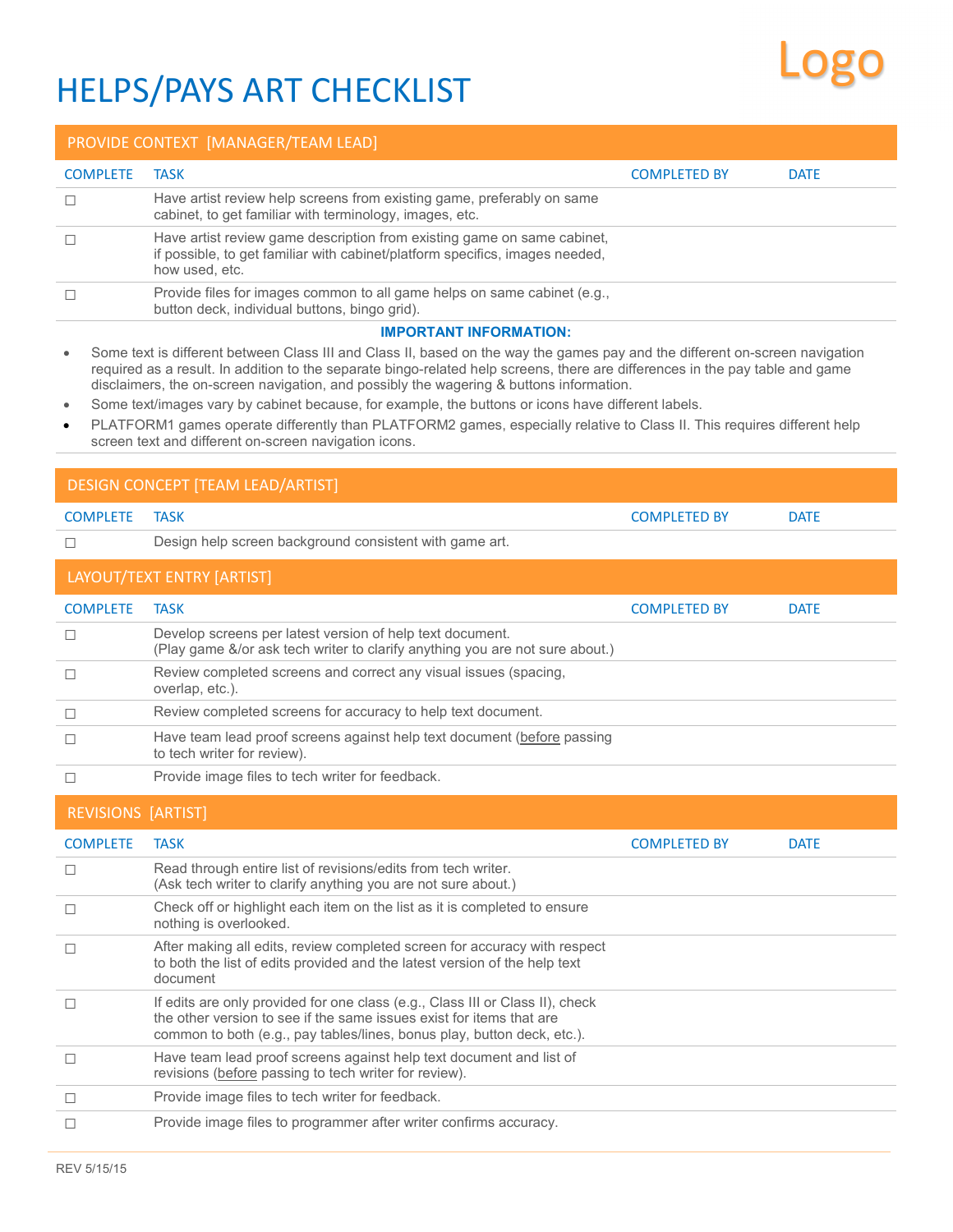## HELPS/PAYS ART CHECKLIST

## PROVIDE CONTEXT [MANAGER/TEAM LEAD] COMPLETE TASK COMPLETED BY DATE ☐ Have artist review help screens from existing game, preferably on same cabinet, to get familiar with terminology, images, etc. ☐ Have artist review game description from existing game on same cabinet, if possible, to get familiar with cabinet/platform specifics, images needed, how used, etc. ☐ Provide files for images common to all game helps on same cabinet (e.g., button deck, individual buttons, bingo grid). **IMPORTANT INFORMATION:**  Some text is different between Class III and Class II, based on the way the games pay and the different on-screen navigation required as a result. In addition to the separate bingo-related help screens, there are differences in the pay table and game disclaimers, the on-screen navigation, and possibly the wagering & buttons information. Some text/images vary by cabinet because, for example, the buttons or icons have different labels. PLATFORM1 games operate differently than PLATFORM2 games, especially relative to Class II. This requires different help screen text and different on-screen navigation icons. DESIGN CONCEPT [TEAM LEAD/ARTIST] COMPLETE TASK DATE AND RESERVE TO A RESERVE THE SERVE OF STATE OF A RESERVE TO A RESERVE THE SERVE OF A RESERVE OF A RESERVE OF A RESERVE OF A RESERVE OF A RESERVE OF A RESERVE OF A RESERVE OF A RESERVE OF A RESERVE OF A R ☐ Design help screen background consistent with game art. LAYOUT/TEXT ENTRY [ARTIST] COMPLETE TASK COMPLETED BY DATE ☐ Develop screens per latest version of help text document. (Play game &/or ask tech writer to clarify anything you are not sure about.) ☐ Review completed screens and correct any visual issues (spacing, overlap, etc.). ☐ Review completed screens for accuracy to help text document. □ Have team lead proof screens against help text document (before passing to tech writer for review). ☐ Provide image files to tech writer for feedback. REVISIONS [ARTIST] COMPLETE TASK DATE AND RESERVE TO A SERVE A SERVE AND THE COMPLETED BY DATE ☐ Read through entire list of revisions/edits from tech writer. (Ask tech writer to clarify anything you are not sure about.) ☐ Check off or highlight each item on the list as it is completed to ensure nothing is overlooked. ☐ After making all edits, review completed screen for accuracy with respect to both the list of edits provided and the latest version of the help text document ☐ If edits are only provided for one class (e.g., Class III or Class II), check the other version to see if the same issues exist for items that are common to both (e.g., pay tables/lines, bonus play, button deck, etc.). ☐ Have team lead proof screens against help text document and list of revisions (before passing to tech writer for review). ☐ Provide image files to tech writer for feedback. ☐ Provide image files to programmer after writer confirms accuracy.

Logo